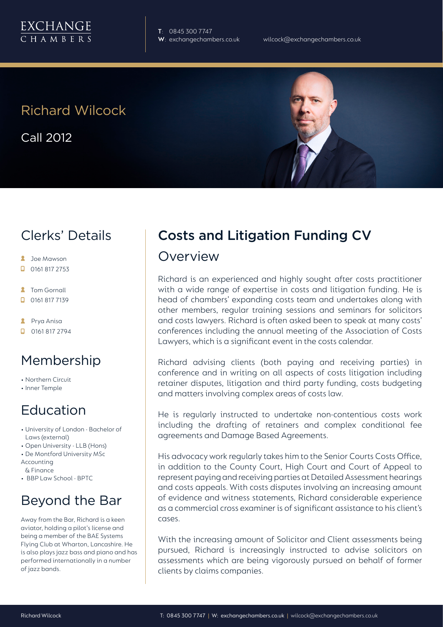

**T**: 0845 300 7747

## Richard Wilcock

Call 2012

#### Clerks' Details

- **2** Joe Mawson
- $\Box$  0161 817 2753
- **2** Tom Gornall
- 0161 817 7139
- **2** Prya Anisa
- $\Box$  0161 817 2794

#### Membership

- Northern Circuit
- Inner Temple

#### Education

- University of London Bachelor of Laws (external)
- Open University LLB (Hons)
- De Montford University MSc
- Accounting & Finance
- BBP Law School BPTC

## Beyond the Bar

Away from the Bar, Richard is a keen aviator, holding a pilot's license and being a member of the BAE Systems Flying Club at Wharton, Lancashire. He is also plays jazz bass and piano and has performed internationally in a number of jazz bands.

# Costs and Litigation Funding CV

#### Overview

Richard is an experienced and highly sought after costs practitioner with a wide range of expertise in costs and litigation funding. He is head of chambers' expanding costs team and undertakes along with other members, regular training sessions and seminars for solicitors and costs lawyers. Richard is often asked been to speak at many costs' conferences including the annual meeting of the Association of Costs Lawyers, which is a significant event in the costs calendar.

Richard advising clients (both paying and receiving parties) in conference and in writing on all aspects of costs litigation including retainer disputes, litigation and third party funding, costs budgeting and matters involving complex areas of costs law.

He is regularly instructed to undertake non-contentious costs work including the drafting of retainers and complex conditional fee agreements and Damage Based Agreements.

His advocacy work regularly takes him to the Senior Courts Costs Office, in addition to the County Court, High Court and Court of Appeal to represent paying and receiving parties at Detailed Assessment hearings and costs appeals. With costs disputes involving an increasing amount of evidence and witness statements, Richard considerable experience as a commercial cross examiner is of significant assistance to his client's cases.

With the increasing amount of Solicitor and Client assessments being pursued, Richard is increasingly instructed to advise solicitors on assessments which are being vigorously pursued on behalf of former clients by claims companies.